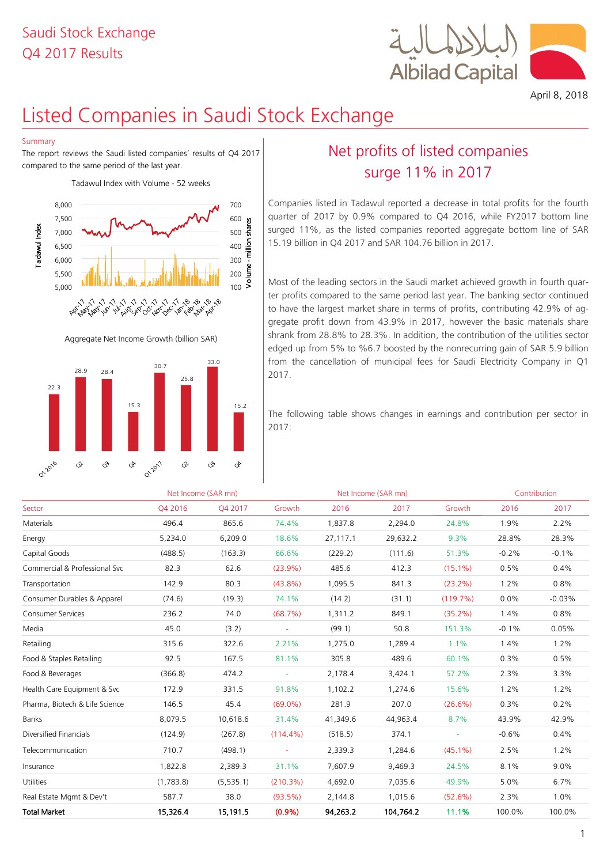

April 8, 2018

# Listed Companies in Saudi Stock Exchange

## Summary

The report reviews the Saudi listed companies' results of Q4 2017 compared to the same period of the last year.

Tadawul Index with Volume - 52 weeks



Aggregate Net Income Growth (billion SAR)



# Net profits of listed companies surge 11% in 2017

Companies listed in Tadawul reported a decrease in total profits for the fourth quarter of 2017 by 0.9% compared to Q4 2016, while FY2017 bottom line surged 11%, as the listed companies reported aggregate bottom line of SAR 15.19 billion in Q4 2017 and SAR 104.76 billion in 2017.

Most of the leading sectors in the Saudi market achieved growth in fourth quarter profits compared to the same period last year. The banking sector continued to have the largest market share in terms of profits, contributing 42.9% of aggregate profit down from 43.9% in 2017, however the basic materials share shrank from 28.8% to 28.3%. In addition, the contribution of the utilities sector edged up from 5% to %6.7 boosted by the nonrecurring gain of SAR 5.9 billion from the cancellation of municipal fees for Saudi Electricity Company in Q1 2017.

The following table shows changes in earnings and contribution per sector in 2017:

|                                |           | Net Income (SAR mn) |             |          | Net Income (SAR mn) |            |         | Contribution |
|--------------------------------|-----------|---------------------|-------------|----------|---------------------|------------|---------|--------------|
| Sector                         | O4 2016   | O4 2017             | Growth      | 2016     | 2017                | Growth     | 2016    | 2017         |
| Materials                      | 496.4     | 865.6               | 74.4%       | 1,837.8  | 2,294.0             | 24.8%      | 1.9%    | 2.2%         |
| Energy                         | 5,234.0   | 6,209.0             | 18.6%       | 27,117.1 | 29,632.2            | 9.3%       | 28.8%   | 28.3%        |
| Capital Goods                  | (488.5)   | (163.3)             | 66.6%       | (229.2)  | (111.6)             | 51.3%      | $-0.2%$ | $-0.1%$      |
| Commercial & Professional Svc  | 82.3      | 62.6                | $(23.9\%)$  | 485.6    | 412.3               | $(15.1\%)$ | 0.5%    | 0.4%         |
| Transportation                 | 142.9     | 80.3                | $(43.8\%)$  | 1,095.5  | 841.3               | $(23.2\%)$ | 1.2%    | 0.8%         |
| Consumer Durables & Apparel    | (74.6)    | (19.3)              | 74.1%       | (14.2)   | (31.1)              | (119.7%)   | $0.0\%$ | $-0.03%$     |
| <b>Consumer Services</b>       | 236.2     | 74.0                | (68.7%)     | 1,311.2  | 849.1               | (35.2%)    | 1.4%    | 0.8%         |
| Media                          | 45.0      | (3.2)               | $\sim$      | (99.1)   | 50.8                | 151.3%     | $-0.1%$ | 0.05%        |
| Retailing                      | 315.6     | 322.6               | 2.21%       | 1,275.0  | 1,289.4             | 1.1%       | 1.4%    | 1.2%         |
| Food & Staples Retailing       | 92.5      | 167.5               | 81.1%       | 305.8    | 489.6               | 60.1%      | 0.3%    | 0.5%         |
| Food & Beverages               | (366.8)   | 474.2               | $\omega$    | 2,178.4  | 3,424.1             | 57.2%      | 2.3%    | 3.3%         |
| Health Care Equipment & Svc    | 172.9     | 331.5               | 91.8%       | 1,102.2  | 1,274.6             | 15.6%      | 1.2%    | 1.2%         |
| Pharma, Biotech & Life Science | 146.5     | 45.4                | $(69.0\%)$  | 281.9    | 207.0               | $(26.6\%)$ | 0.3%    | 0.2%         |
| <b>Banks</b>                   | 8,079.5   | 10,618.6            | 31.4%       | 41,349.6 | 44,963.4            | 8.7%       | 43.9%   | 42.9%        |
| Diversified Financials         | (124.9)   | (267.8)             | $(114.4\%)$ | (518.5)  | 374.1               | $\equiv$   | $-0.6%$ | 0.4%         |
| Telecommunication              | 710.7     | (498.1)             | $\omega$    | 2,339.3  | 1,284.6             | $(45.1\%)$ | 2.5%    | 1.2%         |
| Insurance                      | 1,822.8   | 2,389.3             | 31.1%       | 7,607.9  | 9,469.3             | 24.5%      | 8.1%    | 9.0%         |
| Utilities                      | (1,783.8) | (5, 535.1)          | (210.3%)    | 4,692.0  | 7,035.6             | 49.9%      | 5.0%    | 6.7%         |
| Real Estate Mgmt & Dev't       | 587.7     | 38.0                | $(93.5\%)$  | 2,144.8  | 1,015.6             | (52.6%)    | 2.3%    | 1.0%         |
| <b>Total Market</b>            | 15,326.4  | 15,191.5            | (0.9% )     | 94,263.2 | 104,764.2           | 11.1%      | 100.0%  | 100.0%       |
|                                |           |                     |             |          |                     |            |         |              |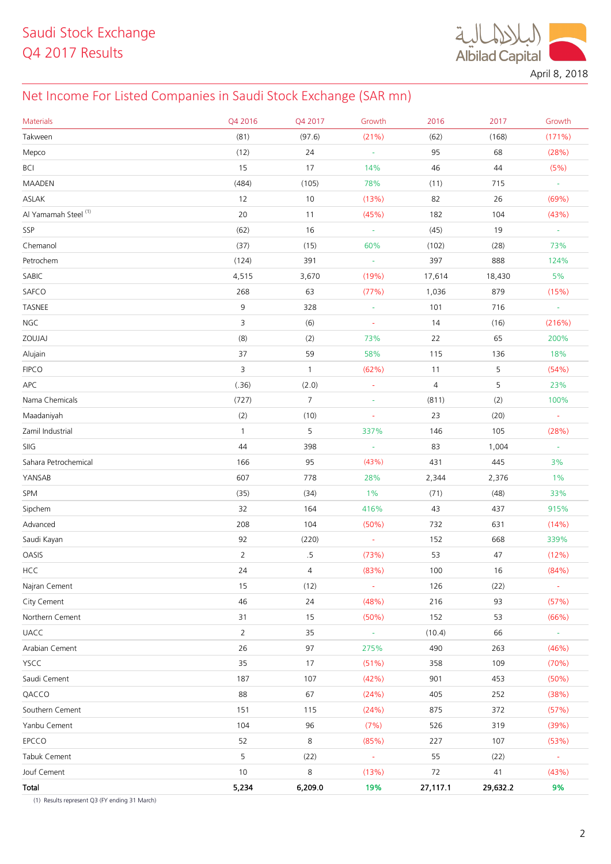**Albilad Capital** 

April 8, 2018

# Net Income For Listed Companies in Saudi Stock Exchange (SAR mn)

| <b>Materials</b>     | Q4 2016        | Q4 2017        | Growth                   | 2016           | 2017     | Growth           |
|----------------------|----------------|----------------|--------------------------|----------------|----------|------------------|
| Takween              | (81)           | (97.6)         | (21%)                    | (62)           | (168)    | (171%)           |
| Mepco                | (12)           | 24             | $\omega$                 | 95             | 68       | (28%)            |
| BCI                  | 15             | 17             | 14%                      | 46             | 44       | (5% )            |
| MAADEN               | (484)          | (105)          | 78%                      | (11)           | 715      | $\sim$           |
| ASLAK                | 12             | 10             | (13%)                    | 82             | 26       | (69%)            |
| Al Yamamah Steel (1) | 20             | 11             | (45%)                    | 182            | 104      | (43%)            |
| SSP                  | (62)           | 16             | $\omega$                 | (45)           | 19       | $\blacksquare$   |
| Chemanol             | (37)           | (15)           | 60%                      | (102)          | (28)     | 73%              |
| Petrochem            | (124)          | 391            | $\frac{1}{\sqrt{2}}$     | 397            | 888      | 124%             |
| SABIC                | 4,515          | 3,670          | (19%)                    | 17,614         | 18,430   | 5%               |
| SAFCO                | 268            | 63             | (77%)                    | 1,036          | 879      | (15%)            |
| TASNEE               | 9              | 328            | $\omega$                 | 101            | 716      | $\omega$         |
| <b>NGC</b>           | 3              | (6)            | $\bar{\phantom{a}}$      | 14             | (16)     | (216%)           |
| ZOUJAJ               | (8)            | (2)            | 73%                      | 22             | 65       | 200%             |
| Alujain              | 37             | 59             | 58%                      | 115            | 136      | 18%              |
| <b>FIPCO</b>         | 3              | $\mathbf{1}$   | (62%)                    | 11             | 5        | (54%)            |
| APC                  | (.36)          | (2.0)          | $\frac{1}{\sqrt{2}}$     | $\overline{4}$ | 5        | 23%              |
| Nama Chemicals       | (727)          | $\overline{7}$ | $\omega$                 | (811)          | (2)      | 100%             |
| Maadaniyah           | (2)            | (10)           | $\blacksquare$           | 23             | (20)     | $\blacksquare$   |
| Zamil Industrial     | $\mathbf{1}$   | 5              | 337%                     | 146            | 105      | (28%)            |
| SIIG                 | 44             | 398            | $\overline{\phantom{a}}$ | 83             | 1,004    | $\sim$           |
| Sahara Petrochemical | 166            | 95             | (43%)                    | 431            | 445      | 3%               |
| YANSAB               | 607            | 778            | 28%                      | 2,344          | 2,376    | $1\%$            |
| SPM                  | (35)           | (34)           | $1\%$                    | (71)           | (48)     | 33%              |
| Sipchem              | 32             | 164            | 416%                     | 43             | 437      | 915%             |
| Advanced             | 208            | 104            | (50%)                    | 732            | 631      | (14%)            |
| Saudi Kayan          | 92             | (220)          | $\overline{\phantom{a}}$ | 152            | 668      | 339%             |
| OASIS                | $\overline{2}$ | $.5\,$         | (73%)                    | 53             | 47       | (12%)            |
| <b>HCC</b>           | 24             | 4              | (83%)                    | 100            | 16       | (84%)            |
| Najran Cement        | 15             | (12)           | $\omega$                 | 126            | (22)     | $\blacksquare$   |
| City Cement          | 46             | 24             | (48%)                    | 216            | 93       | (57%)            |
| Northern Cement      | 31             | 15             | (50%)                    | 152            | 53       | (66%)            |
| <b>UACC</b>          | $\overline{2}$ | 35             | $\omega_{\rm c}$         | (10.4)         | 66       | $\omega_{\rm c}$ |
| Arabian Cement       | 26             | 97             | 275%                     | 490            | 263      | (46%)            |
| YSCC                 | 35             | 17             | (51%)                    | 358            | 109      | (70%)            |
| Saudi Cement         | 187            | 107            | (42%)                    | 901            | 453      | (50%)            |
| QACCO                | 88             | 67             | (24%)                    | 405            | 252      | (38%)            |
| Southern Cement      | 151            | 115            | (24%)                    | 875            | 372      | (57%)            |
| Yanbu Cement         | 104            | 96             | (7%)                     | 526            | 319      | (39%)            |
| EPCCO                | 52             | $\,8\,$        | (85%)                    | 227            | 107      | (53%)            |
| Tabuk Cement         | 5              | (22)           | $\omega$                 | 55             | (22)     | $\omega$         |
| Jouf Cement          | $10$           | $\,8\,$        | (13%)                    | 72             | $41$     | (43%)            |
| Total                | 5,234          | 6,209.0        | 19%                      | 27,117.1       | 29,632.2 | 9%               |

(1) Results represent Q3 (FY ending 31 March)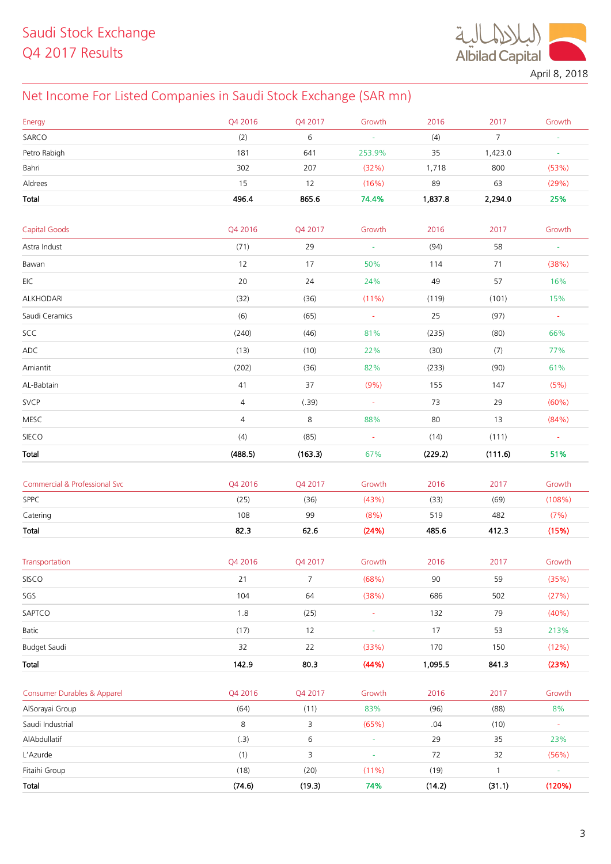**Albilad Capital** 

April 8, 2018

# Net Income For Listed Companies in Saudi Stock Exchange (SAR mn)

| Energy                        | Q4 2016        | Q4 2017        | Growth         | 2016    | 2017           | Growth               |
|-------------------------------|----------------|----------------|----------------|---------|----------------|----------------------|
| SARCO                         | (2)            | 6              | $\omega$       | (4)     | 7 <sup>1</sup> |                      |
| Petro Rabigh                  | 181            | 641            | 253.9%         | 35      | 1,423.0        | $\omega$             |
| Bahri                         | 302            | 207            | (32%)          | 1,718   | 800            | (53%)                |
| Aldrees                       | 15             | 12             | (16%)          | 89      | 63             | (29%)                |
| Total                         | 496.4          | 865.6          | 74.4%          | 1,837.8 | 2,294.0        | 25%                  |
|                               |                |                |                |         |                |                      |
| <b>Capital Goods</b>          | Q4 2016        | Q4 2017        | Growth         | 2016    | 2017           | Growth               |
| Astra Indust                  | (71)           | 29             | $\omega$       | (94)    | 58             | $\omega$             |
| Bawan                         | 12             | 17             | 50%            | 114     | 71             | (38%)                |
| EIC                           | 20             | 24             | 24%            | 49      | 57             | 16%                  |
| ALKHODARI                     | (32)           | (36)           | (11%)          | (119)   | (101)          | 15%                  |
| Saudi Ceramics                | (6)            | (65)           | $\omega$       | 25      | (97)           | $\omega$             |
| SCC                           | (240)          | (46)           | 81%            | (235)   | (80)           | 66%                  |
| ADC                           | (13)           | (10)           | 22%            | (30)    | (7)            | 77%                  |
| Amiantit                      | (202)          | (36)           | 82%            | (233)   | (90)           | 61%                  |
| AL-Babtain                    | 41             | 37             | (9%)           | 155     | 147            | (5%)                 |
| <b>SVCP</b>                   | 4              | (.39)          | $\sim$         | 73      | 29             | $(60\%)$             |
| <b>MESC</b>                   | $\overline{4}$ | 8              | 88%            | 80      | 13             | (84%)                |
| SIECO                         | (4)            | (85)           | $\sim$         | (14)    | (111)          | $\sim$               |
| Total                         | (488.5)        | (163.3)        | 67%            | (229.2) | (111.6)        | 51%                  |
|                               |                |                |                |         |                |                      |
| Commercial & Professional Svc | Q4 2016        | Q4 2017        | Growth         | 2016    | 2017           | Growth               |
| SPPC                          | (25)           | (36)           | (43%)          | (33)    | (69)           | (108%)               |
| Catering                      | 108            | 99             | (8%)           | 519     | 482            | (7%)                 |
| Total                         | 82.3           | 62.6           | (24%)          | 485.6   | 412.3          | (15%)                |
|                               |                |                |                |         |                |                      |
| Transportation                | Q4 2016        | Q4 2017        | Growth         | 2016    | 2017           | Growth               |
| SISCO                         | 21             | $\overline{7}$ | (68%)          | 90      | 59             | (35%)                |
| SGS                           | 104            | 64             | (38%)          | 686     | 502            | (27%)                |
| SAPTCO                        | $1.8\,$        | (25)           | $\blacksquare$ | 132     | 79             | (40%)                |
| Batic                         | (17)           | 12             | ÷              | 17      | 53             | 213%                 |
| Budget Saudi                  | 32             | 22             | (33%)          | 170     | 150            | (12%)                |
| Total                         | 142.9          | 80.3           | (44%)          | 1,095.5 | 841.3          | (23%)                |
|                               |                |                |                |         |                |                      |
| Consumer Durables & Apparel   | Q4 2016        | Q4 2017        | Growth         | 2016    | 2017           | Growth               |
| AlSorayai Group               | (64)           | (11)           | 83%            | (96)    | (88)           | 8%                   |
| Saudi Industrial              | 8              | 3              | (65%)          | .04     | (10)           | $\frac{1}{\sqrt{2}}$ |
| AlAbdullatif                  | (.3)           | 6              | $\omega$       | 29      | 35             | 23%                  |
| L'Azurde                      | (1)            | 3              | ÷              | 72      | 32             | (56%)                |
| Fitaihi Group                 | (18)           | (20)           | $(11\%)$       | (19)    | $\mathbf{1}$   | $\omega$             |
| Total                         | (74.6)         | (19.3)         | 74%            | (14.2)  | (31.1)         | (120%)               |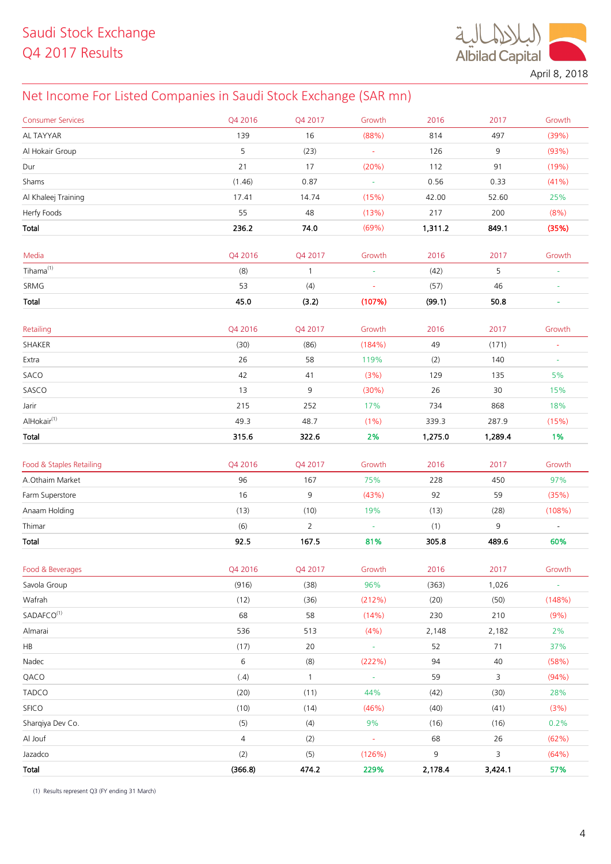$\ddot{\mathcal{A}}$ **Albilad Capital** 

April 8, 2018

# Net Income For Listed Companies in Saudi Stock Exchange (SAR mn)

| <b>Consumer Services</b> | Q4 2016        | Q4 2017        | Growth                   | 2016    | 2017    | Growth         |
|--------------------------|----------------|----------------|--------------------------|---------|---------|----------------|
| AL TAYYAR                | 139            | 16             | (88%)                    | 814     | 497     | (39%)          |
| Al Hokair Group          | 5              | (23)           | $\omega$                 | 126     | 9       | (93%)          |
| Dur                      | 21             | 17             | (20%)                    | 112     | 91      | (19%)          |
| Shams                    | (1.46)         | 0.87           | $\sim$                   | 0.56    | 0.33    | (41%)          |
| Al Khaleej Training      | 17.41          | 14.74          | (15%)                    | 42.00   | 52.60   | 25%            |
| Herfy Foods              | 55             | 48             | (13%)                    | 217     | 200     | (8% )          |
| Total                    | 236.2          | 74.0           | (69%)                    | 1,311.2 | 849.1   | (35%)          |
|                          |                |                |                          |         |         |                |
| Media                    | Q4 2016        | Q4 2017        | Growth                   | 2016    | 2017    | Growth         |
| $Tihama^{(1)}$           | (8)            | $\mathbf{1}$   | $\omega$                 | (42)    | 5       | ÷,             |
| SRMG                     | 53             | (4)            |                          | (57)    | 46      |                |
| Total                    | 45.0           | (3.2)          | (107%)                   | (99.1)  | 50.8    | $\blacksquare$ |
|                          |                |                |                          |         |         |                |
| Retailing                | Q4 2016        | Q4 2017        | Growth                   | 2016    | 2017    | Growth         |
| SHAKER                   | (30)           | (86)           | (184%)                   | 49      | (171)   | ä,             |
| Extra                    | 26             | 58             | 119%                     | (2)     | 140     |                |
| SACO                     | 42             | 41             | (3%)                     | 129     | 135     | 5%             |
| SASCO                    | 13             | 9              | (30%)                    | 26      | 30      | 15%            |
| Jarir                    | 215            | 252            | 17%                      | 734     | 868     | 18%            |
| AlHokair <sup>(1)</sup>  | 49.3           | 48.7           | $(1\%)$                  | 339.3   | 287.9   | (15%)          |
| Total                    | 315.6          | 322.6          | 2%                       | 1,275.0 | 1,289.4 | 1%             |
|                          |                |                |                          |         |         |                |
| Food & Staples Retailing | Q4 2016        | Q4 2017        | Growth                   | 2016    | 2017    | Growth         |
| A.Othaim Market          | 96<br>16       | 167            | 75%                      | 228     | 450     | 97%            |
| Farm Superstore          |                | 9              | (43%)                    | 92      | 59      | (35%)          |
| Anaam Holding            | (13)           | (10)           | 19%                      | (13)    | (28)    | (108%)         |
| Thimar                   | (6)            | $\overline{2}$ | $\overline{\phantom{a}}$ | (1)     | 9       |                |
| Total                    | 92.5           | 167.5          | 81%                      | 305.8   | 489.6   | 60%            |
| Food & Beverages         | Q4 2016        | Q4 2017        | Growth                   | 2016    | 2017    | Growth         |
| Savola Group             | (916)          | (38)           | 96%                      | (363)   | 1,026   | $\omega$       |
| Wafrah                   | (12)           | (36)           | (212%)                   | (20)    | (50)    | (148%)         |
| SADAFCO <sup>(1)</sup>   | 68             | 58             | (14%)                    | 230     | 210     | (9%)           |
| Almarai                  | 536            | 513            | (4% )                    | 2,148   | 2,182   | 2%             |
| HB                       | (17)           | 20             | $\omega$                 | 52      | 71      | 37%            |
| Nadec                    | 6              | (8)            | (222%)                   | 94      | 40      | (58%)          |
| QACO                     | (.4)           | $\mathbf{1}$   | $\omega$                 | 59      | 3       | (94%)          |
| <b>TADCO</b>             | (20)           | (11)           | 44%                      | (42)    | (30)    | 28%            |
| <b>SFICO</b>             | (10)           | (14)           | (46%)                    | (40)    | (41)    | (3%)           |
| Sharqiya Dev Co.         | (5)            | (4)            | 9%                       | (16)    | (16)    | 0.2%           |
| Al Jouf                  | $\overline{4}$ | (2)            | $\omega$                 | 68      | 26      | (62%)          |
|                          | (2)            |                |                          | 9       |         | (64%)          |
| Jazadco                  |                | (5)            | (126%)                   |         | 3       |                |
| Total                    | (366.8)        | 474.2          | 229%                     | 2,178.4 | 3,424.1 | 57%            |

(1) Results represent Q3 (FY ending 31 March)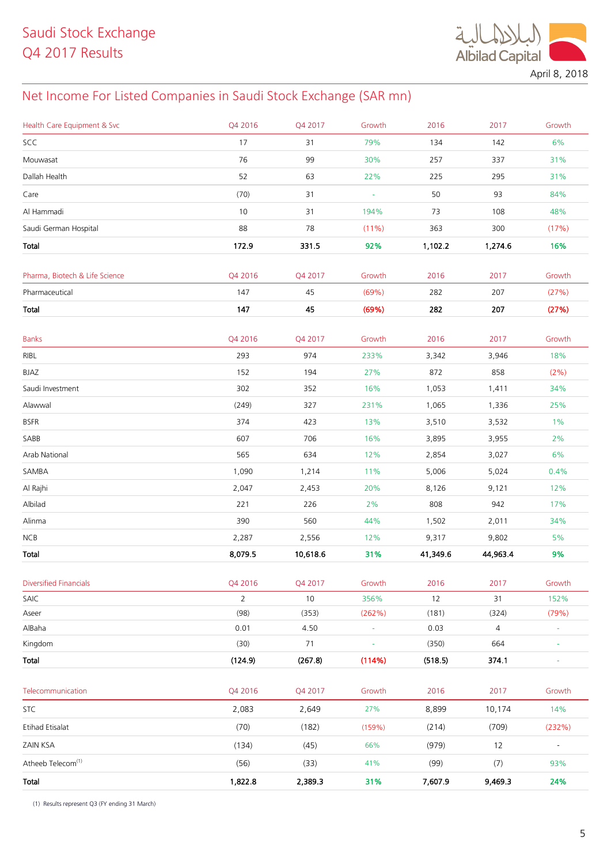$\ddot{\mathcal{A}}$ **Albilad Capital** 

April 8, 2018

# Net Income For Listed Companies in Saudi Stock Exchange (SAR mn)

| Health Care Equipment & Svc    | Q4 2016                | Q4 2017       | Growth         | 2016          | 2017           | Growth                   |
|--------------------------------|------------------------|---------------|----------------|---------------|----------------|--------------------------|
| SCC                            | 17                     | 31            | 79%            | 134           | 142            | 6%                       |
| Mouwasat                       | 76                     | 99            | 30%            | 257           | 337            | 31%                      |
| Dallah Health                  | 52                     | 63            | 22%            | 225           | 295            | 31%                      |
| Care                           | (70)                   | 31            | $\blacksquare$ | 50            | 93             | 84%                      |
| Al Hammadi                     | 10                     | 31            | 194%           | 73            | 108            | 48%                      |
| Saudi German Hospital          | 88                     | 78            | (11%)          | 363           | 300            | (17%)                    |
| Total                          | 172.9                  | 331.5         | 92%            | 1,102.2       | 1,274.6        | 16%                      |
|                                |                        |               |                |               |                |                          |
| Pharma, Biotech & Life Science | Q4 2016                | Q4 2017       | Growth         | 2016          | 2017           | Growth                   |
| Pharmaceutical                 | 147                    | 45            | (69%)          | 282           | 207            | (27%)                    |
| Total                          | 147                    | 45            | (69%)          | 282           | 207            | (27%)                    |
|                                |                        |               |                |               |                |                          |
| <b>Banks</b>                   | Q4 2016                | Q4 2017       | Growth         | 2016          | 2017           | Growth                   |
| RIBL                           | 293                    | 974           | 233%           | 3,342         | 3,946          | 18%                      |
| BJAZ                           | 152                    | 194           | 27%            | 872           | 858            | $(2\%)$                  |
| Saudi Investment               | 302                    | 352           | 16%            | 1,053         | 1,411          | 34%                      |
| Alawwal                        | (249)                  | 327           | 231%           | 1,065         | 1,336          | 25%                      |
| <b>BSFR</b>                    | 374                    | 423           | 13%            | 3,510         | 3,532          | $1\%$                    |
| SABB                           | 607                    | 706           | 16%            | 3,895         | 3,955          | 2%                       |
| Arab National                  | 565                    | 634           | 12%            | 2,854         | 3,027          | 6%                       |
| SAMBA                          | 1,090                  | 1,214         | 11%            | 5,006         | 5,024          | 0.4%                     |
| Al Rajhi                       | 2,047                  | 2,453         | 20%            | 8,126         | 9,121          | 12%                      |
| Albilad                        | 221                    | 226           | 2%             | 808           | 942            | 17%                      |
| Alinma                         | 390                    | 560           | 44%            | 1,502         | 2,011          | 34%                      |
| NCB                            | 2,287                  | 2,556         | 12%            | 9,317         | 9,802          | 5%                       |
| Total                          | 8,079.5                | 10,618.6      | 31%            | 41,349.6      | 44,963.4       | 9%                       |
|                                |                        |               |                |               |                |                          |
| <b>Diversified Financials</b>  | Q4 2016                | Q4 2017       | Growth         | 2016          | 2017           | Growth                   |
| SAIC<br>Aseer                  | $\overline{2}$<br>(98) | $10$<br>(353) | 356%<br>(262%) | $12$<br>(181) | 31<br>(324)    | 152%<br>(79%)            |
| AlBaha                         | 0.01                   | 4.50          | ÷,             | 0.03          | $\overline{4}$ | $\equiv$                 |
| Kingdom                        | (30)                   | 71            | ÷,             | (350)         | 664            | $\equiv$                 |
| Total                          | (124.9)                | (267.8)       | (114%)         | (518.5)       | 374.1          | $\equiv$                 |
|                                |                        |               |                |               |                |                          |
| Telecommunication              | Q4 2016                | Q4 2017       | Growth         | 2016          | 2017           | Growth                   |
| <b>STC</b>                     | 2,083                  | 2,649         | 27%            | 8,899         | 10,174         | 14%                      |
| Etihad Etisalat                | (70)                   | (182)         | (159%)         | (214)         | (709)          | (232%)                   |
| ZAIN KSA                       | (134)                  | (45)          | 66%            | (979)         | 12             | $\overline{\phantom{a}}$ |
| Atheeb Telecom <sup>(1)</sup>  | (56)                   | (33)          | 41%            | (99)          | (7)            | 93%                      |
| Total                          | 1,822.8                | 2,389.3       | 31%            | 7,607.9       | 9,469.3        | 24%                      |

(1) Results represent Q3 (FY ending 31 March)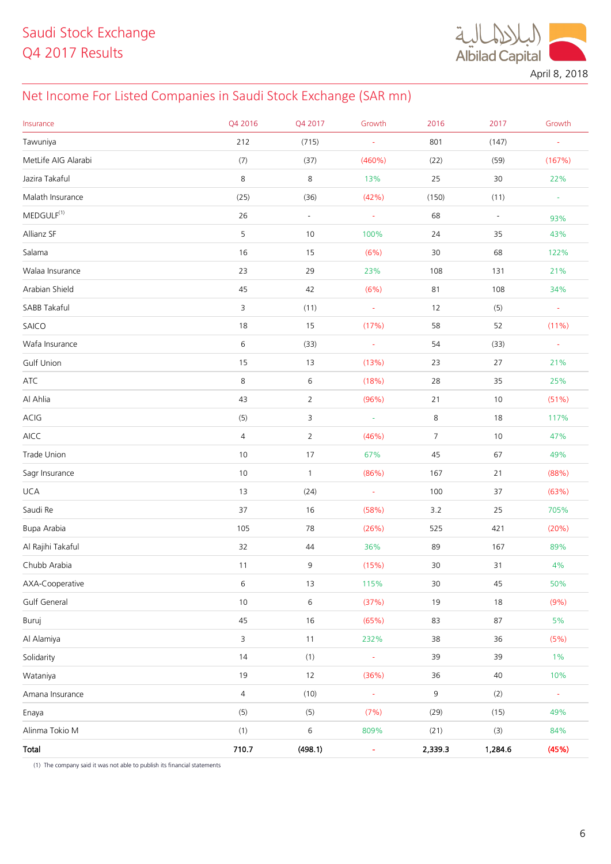$\ddot{a}$ **Albilad Capital** 

April 8, 2018

# Net Income For Listed Companies in Saudi Stock Exchange (SAR mn)

| Insurance           | Q4 2016        | Q4 2017        | Growth         | 2016           | 2017                     | Growth              |
|---------------------|----------------|----------------|----------------|----------------|--------------------------|---------------------|
| Tawuniya            | 212            | (715)          | ÷              | 801            | (147)                    | ÷,                  |
| MetLife AIG Alarabi | (7)            | (37)           | $(460\%)$      | (22)           | (59)                     | (167%)              |
| Jazira Takaful      | $\,8\,$        | 8              | 13%            | 25             | $30\,$                   | 22%                 |
| Malath Insurance    | (25)           | (36)           | (42%)          | (150)          | (11)                     | $\omega$            |
| $MEDGULE^{(1)}$     | 26             | $\blacksquare$ | $\blacksquare$ | 68             | $\overline{\phantom{a}}$ | 93%                 |
| Allianz SF          | 5              | $10$           | 100%           | 24             | 35                       | 43%                 |
| Salama              | 16             | 15             | (6%)           | 30             | 68                       | 122%                |
| Walaa Insurance     | 23             | 29             | 23%            | 108            | 131                      | 21%                 |
| Arabian Shield      | 45             | 42             | (6%)           | 81             | 108                      | 34%                 |
| SABB Takaful        | 3              | (11)           | $\omega$       | 12             | (5)                      | $\omega$            |
| SAICO               | 18             | $15\,$         | (17%)          | 58             | 52                       | $(11\%)$            |
| Wafa Insurance      | 6              | (33)           | $\omega$       | 54             | (33)                     | $\bar{\phantom{a}}$ |
| Gulf Union          | 15             | 13             | (13%)          | 23             | 27                       | 21%                 |
| ATC                 | $\,8\,$        | $\,$ 6 $\,$    | (18%)          | 28             | 35                       | 25%                 |
| Al Ahlia            | 43             | $\overline{2}$ | (96%)          | 21             | 10                       | (51%)               |
| ACIG                | (5)            | 3              | $\omega$       | 8              | 18                       | 117%                |
| $\mathsf{AICC}$     | $\overline{4}$ | $\overline{2}$ | (46%)          | $\overline{7}$ | 10                       | 47%                 |
| Trade Union         | 10             | 17             | 67%            | 45             | 67                       | 49%                 |
| Sagr Insurance      | 10             | $\mathbf{1}$   | (86%)          | 167            | 21                       | (88%)               |
| <b>UCA</b>          | 13             | (24)           | $\omega$       | 100            | 37                       | (63%)               |
| Saudi Re            | 37             | $16\,$         | (58%)          | 3.2            | 25                       | 705%                |
| Bupa Arabia         | 105            | 78             | (26%)          | 525            | 421                      | (20%)               |
| Al Rajihi Takaful   | 32             | 44             | 36%            | 89             | 167                      | 89%                 |
| Chubb Arabia        | 11             | 9              | (15%)          | 30             | 31                       | $4\%$               |
| AXA-Cooperative     | $\,$ 6 $\,$    | $13$           | 115%           | $30\,$         | 45                       | 50%                 |
| Gulf General        | 10             | 6              | (37%)          | $19$           | $18\,$                   | (9% )               |
| Buruj               | 45             | $16\,$         | (65%)          | 83             | 87                       | $5\%$               |
| Al Alamiya          | $\overline{3}$ | $11$           | 232%           | 38             | 36                       | (5%)                |
| Solidarity          | 14             | (1)            | Ξ              | 39             | 39                       | $1\%$               |
| Wataniya            | 19             | 12             | (36%)          | 36             | $40\,$                   | 10%                 |
| Amana Insurance     | $\overline{4}$ | (10)           |                | 9              | (2)                      | $\bar{\phantom{a}}$ |
| Enaya               | (5)            | (5)            | (7%)           | (29)           | (15)                     | 49%                 |
| Alinma Tokio M      | (1)            | 6              | 809%           | (21)           | (3)                      | 84%                 |
| Total               | 710.7          | (498.1)        | ٠              | 2,339.3        | 1,284.6                  | (45%)               |

(1) The company said it was not able to publish its financial statements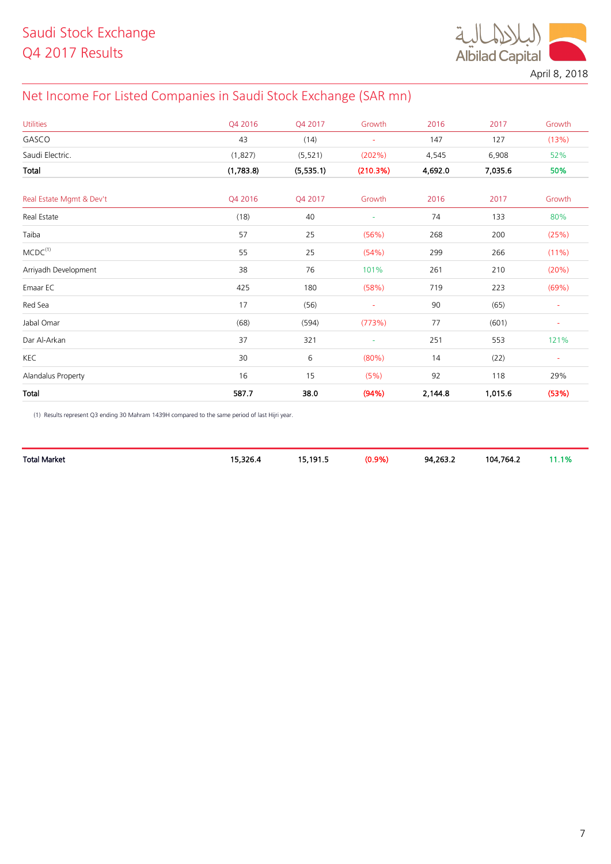

April 8, 2018

# Net Income For Listed Companies in Saudi Stock Exchange (SAR mn)

| <b>Utilities</b>         | Q4 2016   | Q4 2017   | Growth                   | 2016    | 2017    | Growth         |
|--------------------------|-----------|-----------|--------------------------|---------|---------|----------------|
| GASCO                    | 43        | (14)      | $\sim$                   | 147     | 127     | (13%)          |
| Saudi Electric.          | (1,827)   | (5, 521)  | (202%)                   | 4,545   | 6,908   | 52%            |
| Total                    | (1,783.8) | (5,535.1) | (210.3%)                 | 4,692.0 | 7,035.6 | 50%            |
| Real Estate Mgmt & Dev't | Q4 2016   | Q4 2017   | Growth                   | 2016    | 2017    | Growth         |
| Real Estate              | (18)      | 40        | $\overline{\phantom{a}}$ | 74      | 133     | 80%            |
| Taiba                    | 57        | 25        | (56%)                    | 268     | 200     | (25%)          |
| MCDC <sup>(1)</sup>      | 55        | 25        | (54%)                    | 299     | 266     | $(11\%)$       |
| Arriyadh Development     | 38        | 76        | 101%                     | 261     | 210     | (20%)          |
| Emaar EC                 | 425       | 180       | (58%)                    | 719     | 223     | (69%)          |
| Red Sea                  | 17        | (56)      | $\blacksquare$           | 90      | (65)    | $\blacksquare$ |
| Jabal Omar               | (68)      | (594)     | (773%)                   | 77      | (601)   | ÷              |
| Dar Al-Arkan             | 37        | 321       | $\overline{\phantom{a}}$ | 251     | 553     | 121%           |
| KEC                      | 30        | 6         | (80%)                    | 14      | (22)    | $\blacksquare$ |
| Alandalus Property       | 16        | 15        | (5%)                     | 92      | 118     | 29%            |
| Total                    | 587.7     | 38.0      | (94%)                    | 2,144.8 | 1,015.6 | (53%)          |

(1) Results represent Q3 ending 30 Mahram 1439H compared to the same period of last Hijri year.

|                   | <u>т.</u> | ا 101 |     |          | 104 764 ገ | <b>10</b> |
|-------------------|-----------|-------|-----|----------|-----------|-----------|
| Total.<br>! Marke |           | .     | 70. | 94.263.2 |           |           |
|                   |           |       |     |          |           |           |